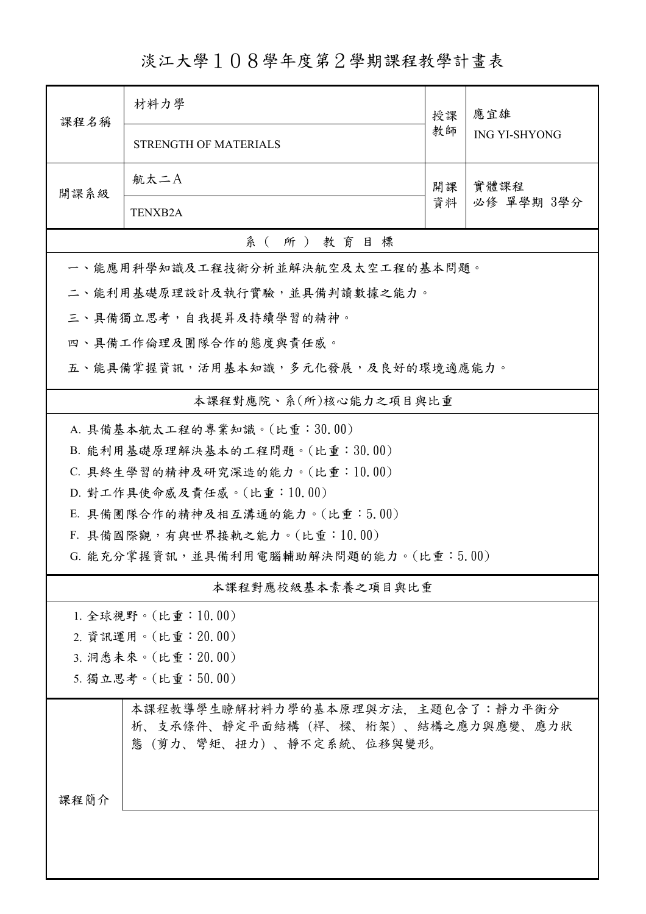淡江大學108學年度第2學期課程教學計畫表

| 課程名稱                                  | 材料力學                                                                                                | 授課       | 應宜雄<br><b>ING YI-SHYONG</b> |  |  |  |
|---------------------------------------|-----------------------------------------------------------------------------------------------------|----------|-----------------------------|--|--|--|
|                                       | <b>STRENGTH OF MATERIALS</b>                                                                        | 教師       |                             |  |  |  |
| 開課系級                                  | 航太二A                                                                                                | 開課<br>資料 | 實體課程<br>必修 單學期 3學分          |  |  |  |
|                                       | TENXB <sub>2</sub> A                                                                                |          |                             |  |  |  |
|                                       | 系(所)教育目標                                                                                            |          |                             |  |  |  |
|                                       | 一、能應用科學知識及工程技術分析並解決航空及太空工程的基本問題。                                                                    |          |                             |  |  |  |
| 二、能利用基礎原理設計及執行實驗,並具備判讀數據之能力。          |                                                                                                     |          |                             |  |  |  |
| 三、具備獨立思考,自我提昇及持續學習的精神。                |                                                                                                     |          |                             |  |  |  |
|                                       | 四、具備工作倫理及團隊合作的態度與責任感。                                                                               |          |                             |  |  |  |
| 五、能具備掌握資訊,活用基本知識,多元化發展,及良好的環境適應能力。    |                                                                                                     |          |                             |  |  |  |
| 本課程對應院、系(所)核心能力之項目與比重                 |                                                                                                     |          |                             |  |  |  |
| A. 具備基本航太工程的專業知識。(比重:30.00)           |                                                                                                     |          |                             |  |  |  |
|                                       | B. 能利用基礎原理解決基本的工程問題。(比重:30.00)                                                                      |          |                             |  |  |  |
|                                       | C. 具終生學習的精神及研究深造的能力。(比重:10.00)                                                                      |          |                             |  |  |  |
|                                       | D. 對工作具使命感及責任感。(比重:10.00)                                                                           |          |                             |  |  |  |
| E. 具備團隊合作的精神及相互溝通的能力。(比重:5.00)        |                                                                                                     |          |                             |  |  |  |
|                                       | F. 具備國際觀,有與世界接軌之能力。(比重:10.00)                                                                       |          |                             |  |  |  |
| G. 能充分掌握資訊,並具備利用電腦輔助解決問題的能力。(比重:5.00) |                                                                                                     |          |                             |  |  |  |
| 本課程對應校級基本素養之項目與比重                     |                                                                                                     |          |                             |  |  |  |
| 1. 全球視野。(比重:10.00)                    |                                                                                                     |          |                             |  |  |  |
| 2. 資訊運用。(比重: 20.00)                   |                                                                                                     |          |                             |  |  |  |
| 3. 洞悉未來。(比重: 20.00)                   |                                                                                                     |          |                             |  |  |  |
| 5. 獨立思考。(比重:50.00)                    |                                                                                                     |          |                             |  |  |  |
|                                       | 本課程教導學生瞭解材料力學的基本原理與方法、主題包含了:靜力平衡分<br>析、支承條件、靜定平面結構(桿、樑、桁架)、結構之應力與應變、應力狀<br>態(剪力、彎矩、扭力)、靜不定系統、位移與變形。 |          |                             |  |  |  |
| 課程簡介                                  |                                                                                                     |          |                             |  |  |  |
|                                       |                                                                                                     |          |                             |  |  |  |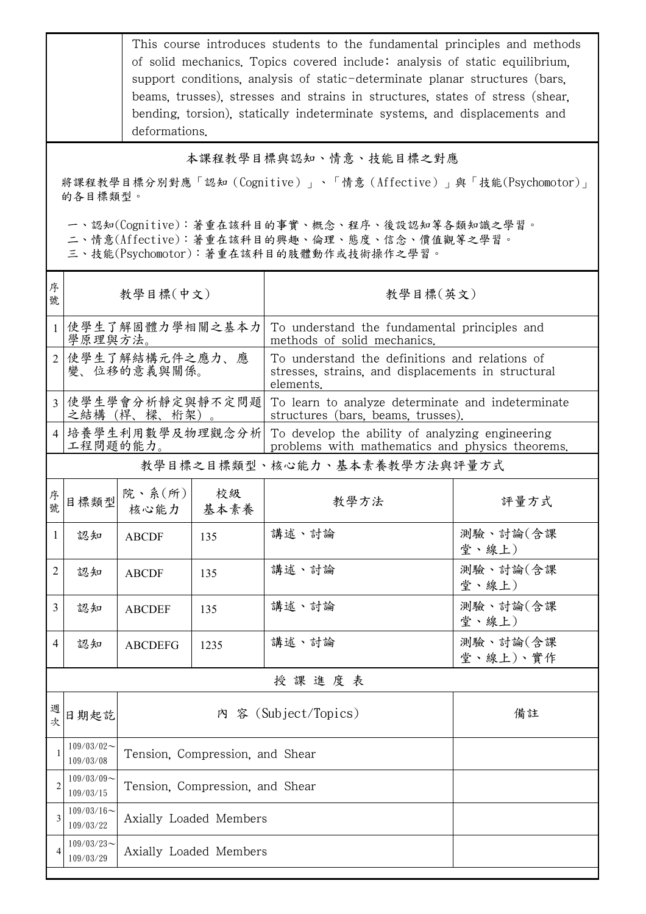This course introduces students to the fundamental principles and methods of solid mechanics. Topics covered include: analysis of static equilibrium, support conditions, analysis of static-determinate planar structures (bars, beams, trusses), stresses and strains in structures, states of stress (shear, bending, torsion), statically indeterminate systems, and displacements and deformations.

## 本課程教學目標與認知、情意、技能目標之對應

將課程教學目標分別對應「認知(Cognitive)」、「情意(Affective)」與「技能(Psychomotor)」 的各目標類型。

一、認知(Cognitive):著重在該科目的事實、概念、程序、後設認知等各類知識之學習。

二、情意(Affective):著重在該科目的興趣、倫理、態度、信念、價值觀等之學習。

三、技能(Psychomotor):著重在該科目的肢體動作或技術操作之學習。

| 序<br>號         | 教學目標(中文)                      |                                 |            | 教學目標(英文)                                                                                                          |                      |  |
|----------------|-------------------------------|---------------------------------|------------|-------------------------------------------------------------------------------------------------------------------|----------------------|--|
|                | 學原理與方法。                       | 使學生了解固體力學相關之基本力                 |            | To understand the fundamental principles and<br>methods of solid mechanics.                                       |                      |  |
|                | 使學生了解結構元件之應力、應<br>變、位移的意義與關係。 |                                 |            | To understand the definitions and relations of<br>stresses, strains, and displacements in structural<br>elements. |                      |  |
| $\overline{3}$ |                               | 使學生學會分析靜定與靜不定問題<br>之結構(桿、樑、桁架)。 |            | To learn to analyze determinate and indeterminate<br>structures (bars, beams, trusses).                           |                      |  |
| $\overline{4}$ | 工程問題的能力。                      | 培養學生利用數學及物理觀念分析                 |            | To develop the ability of analyzing engineering<br>problems with mathematics and physics theorems.                |                      |  |
|                | 教學目標之目標類型、核心能力、基本素養教學方法與評量方式  |                                 |            |                                                                                                                   |                      |  |
| 序<br>號         | 目標類型                          | 院、系 $(\kappa)$<br>核心能力          | 校級<br>基本素養 | 教學方法                                                                                                              | 評量方式                 |  |
| 1              | 認知                            | <b>ABCDF</b>                    | 135        | 講述、討論                                                                                                             | 測驗、討論(含課<br>堂、線上)    |  |
| 2              | 認知                            | <b>ABCDF</b>                    | 135        | 講述、討論                                                                                                             | 測驗、討論(含課<br>堂、線上)    |  |
| 3              | 認知                            | <b>ABCDEF</b>                   | 135        | 講述、討論                                                                                                             | 測驗、討論(含課<br>堂、線上)    |  |
| 4              | 認知                            | <b>ABCDEFG</b>                  | 1235       | 講述、討論                                                                                                             | 測驗、討論(含課<br>堂、線上)、實作 |  |
|                | 授課進度表                         |                                 |            |                                                                                                                   |                      |  |
| 週<br>次         | 日期起訖                          | 內 容 (Subject/Topics)<br>備註      |            |                                                                                                                   |                      |  |
|                | $109/03/02$ ~<br>109/03/08    | Tension, Compression, and Shear |            |                                                                                                                   |                      |  |
| 2              | $109/03/09$ ~<br>109/03/15    | Tension, Compression, and Shear |            |                                                                                                                   |                      |  |
| 3              | $109/03/16$ ~<br>109/03/22    | Axially Loaded Members          |            |                                                                                                                   |                      |  |
| 4              | $109/03/23$ ~<br>109/03/29    | Axially Loaded Members          |            |                                                                                                                   |                      |  |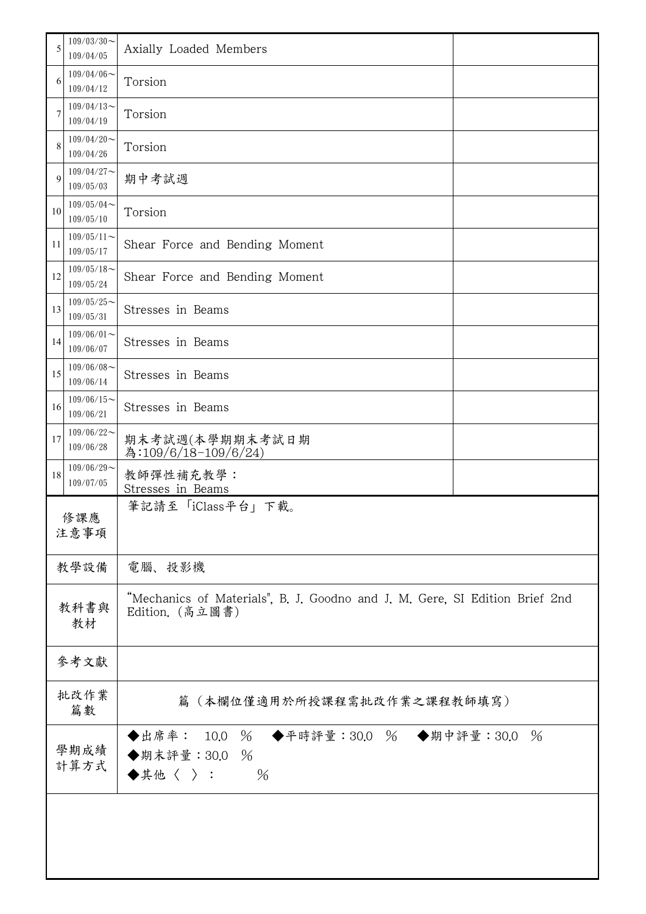| 5            | $109/03/30$ ~<br>109/04/05                      | Axially Loaded Members                                                                         |  |  |  |
|--------------|-------------------------------------------------|------------------------------------------------------------------------------------------------|--|--|--|
| 6            | $109/04/06$ ~<br>109/04/12                      | Torsion                                                                                        |  |  |  |
|              | $109/04/13$ ~<br>109/04/19                      | Torsion                                                                                        |  |  |  |
| 8            | $109/04/20$ ~<br>109/04/26                      | Torsion                                                                                        |  |  |  |
| 9            | $109/04/27$ ~<br>109/05/03                      | 期中考試週                                                                                          |  |  |  |
| 10           | $109/05/04$ ~<br>109/05/10                      | Torsion                                                                                        |  |  |  |
| 11           | $109/05/11$ ~<br>109/05/17                      | Shear Force and Bending Moment                                                                 |  |  |  |
| 12           | $109/05/18$ ~<br>109/05/24                      | Shear Force and Bending Moment                                                                 |  |  |  |
| 13           | $109/05/25$ ~<br>109/05/31                      | Stresses in Beams                                                                              |  |  |  |
| 14           | $109/06/01$ ~<br>Stresses in Beams<br>109/06/07 |                                                                                                |  |  |  |
| 15           | $109/06/08$ ~<br>Stresses in Beams<br>109/06/14 |                                                                                                |  |  |  |
| 16           | $109/06/15$ ~<br>109/06/21                      | Stresses in Beams                                                                              |  |  |  |
| 17           | $109/06/22$ ~<br>109/06/28                      | 期末考試週(本學期期末考試日期<br>為:109/6/18-109/6/24)                                                        |  |  |  |
| 18           | $109/06/29$ ~<br>109/07/05                      | 教師彈性補充教學:<br>Stresses in Beams                                                                 |  |  |  |
| 修課應<br>注意事項  |                                                 | 筆記請至「iClass平台」下載。                                                                              |  |  |  |
|              | 教學設備                                            | 電腦、投影機                                                                                         |  |  |  |
| 教科書與<br>教材   |                                                 | "Mechanics of Materials", B. J. Goodno and J. M. Gere, SI Edition Brief 2nd<br>Edition. (高立圖書) |  |  |  |
|              | 參考文獻                                            |                                                                                                |  |  |  |
| 批改作業<br>篇數   |                                                 | 篇(本欄位僅適用於所授課程需批改作業之課程教師填寫)                                                                     |  |  |  |
| 學期成績<br>計算方式 |                                                 | ◆出席率: 10.0 % ◆平時評量:30.0 % ◆期中評量:30.0 %<br>◆期末評量: 30.0 %<br>$\blacklozenge$ 其他〈 〉:<br>$\%$      |  |  |  |
|              |                                                 |                                                                                                |  |  |  |